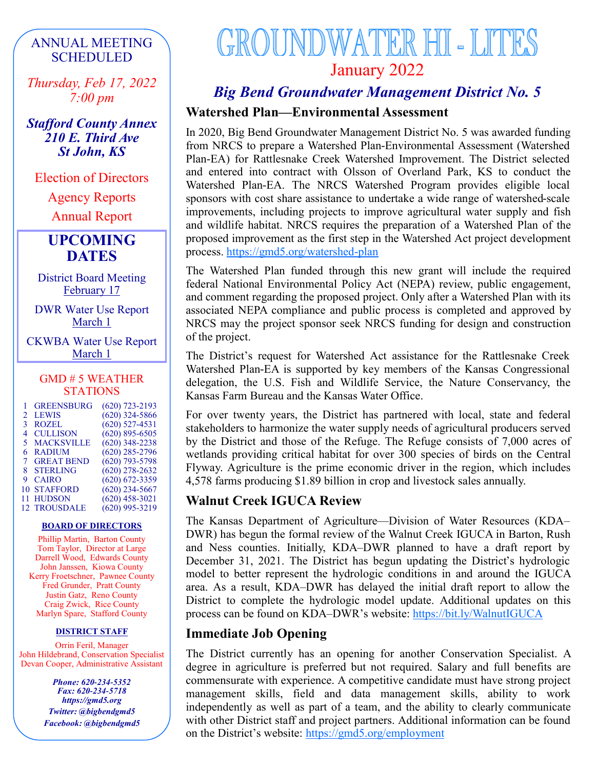## ANNUAL MEETING SCHEDULED

*Thursday, Feb 17, 2022 7:00 pm*

*Stafford County Annex 210 E. Third Ave St John, KS*

Election of Directors

Agency Reports

Annual Report

## **UPCOMING DATES**

District Board Meeting February 17

DWR Water Use Report March 1

CKWBA Water Use Report March 1

### GMD # 5 WEATHER STATIONS

|                | <b>GREENSBURG</b>   | $(620)$ 723-2193 |
|----------------|---------------------|------------------|
| $\mathfrak{D}$ | <b>LEWIS</b>        | $(620)$ 324-5866 |
| 3              | <b>ROZEL</b>        | $(620)$ 527-4531 |
| 4              | <b>CULLISON</b>     | $(620)$ 895-6505 |
| 5              | <b>MACKSVILLE</b>   | $(620)$ 348-2238 |
| 6              | <b>RADIUM</b>       | $(620)$ 285-2796 |
| 7              | <b>GREAT BEND</b>   | $(620)$ 793-5798 |
| 8.             | <b>STERLING</b>     | $(620)$ 278-2632 |
| 9              | <b>CAIRO</b>        | $(620)$ 672-3359 |
| 10             | <b>STAFFORD</b>     | $(620)$ 234-5667 |
| 11             | <b>HUDSON</b>       | $(620)$ 458-3021 |
|                | <b>12 TROUSDALE</b> | $(620)$ 995-3219 |

### **BOARD OF DIRECTORS**

Phillip Martin, Barton County Tom Taylor, Director at Large Darrell Wood, Edwards County John Janssen, Kiowa County Kerry Froetschner, Pawnee County Fred Grunder, Pratt County Justin Gatz, Reno County Craig Zwick, Rice County Marlyn Spare, Stafford County

### **DISTRICT STAFF**

Orrin Feril, Manager John Hildebrand, Conservation Specialist Devan Cooper, Administrative Assistant

> *Phone: 620-234-5352 Fax: 620-234-5718 https://gmd5.org Twitter: @bigbendgmd5 Facebook: @bigbendgmd5*

# **GROUNDWATER HI - LITES** January 2022

## *Big Bend Groundwater Management District No. 5*

## **Watershed Plan—Environmental Assessment**

In 2020, Big Bend Groundwater Management District No. 5 was awarded funding from NRCS to prepare a Watershed Plan-Environmental Assessment (Watershed Plan-EA) for Rattlesnake Creek Watershed Improvement. The District selected and entered into contract with Olsson of Overland Park, KS to conduct the Watershed Plan-EA. The NRCS Watershed Program provides eligible local sponsors with cost share assistance to undertake a wide range of watershed-scale improvements, including projects to improve agricultural water supply and fish and wildlife habitat. NRCS requires the preparation of a Watershed Plan of the proposed improvement as the first step in the Watershed Act project development process.<https://gmd5.org/watershed-plan>

The Watershed Plan funded through this new grant will include the required federal National Environmental Policy Act (NEPA) review, public engagement, and comment regarding the proposed project. Only after a Watershed Plan with its associated NEPA compliance and public process is completed and approved by NRCS may the project sponsor seek NRCS funding for design and construction of the project.

The District's request for Watershed Act assistance for the Rattlesnake Creek Watershed Plan-EA is supported by key members of the Kansas Congressional delegation, the U.S. Fish and Wildlife Service, the Nature Conservancy, the Kansas Farm Bureau and the Kansas Water Office.

For over twenty years, the District has partnered with local, state and federal stakeholders to harmonize the water supply needs of agricultural producers served by the District and those of the Refuge. The Refuge consists of 7,000 acres of wetlands providing critical habitat for over 300 species of birds on the Central Flyway. Agriculture is the prime economic driver in the region, which includes 4,578 farms producing \$1.89 billion in crop and livestock sales annually.

### **Walnut Creek IGUCA Review**

The Kansas Department of Agriculture—Division of Water Resources (KDA– DWR) has begun the formal review of the Walnut Creek IGUCA in Barton, Rush and Ness counties. Initially, KDA–DWR planned to have a draft report by December 31, 2021. The District has begun updating the District's hydrologic model to better represent the hydrologic conditions in and around the IGUCA area. As a result, KDA–DWR has delayed the initial draft report to allow the District to complete the hydrologic model update. Additional updates on this process can be found on KDA–DWR's website: <https://bit.ly/WalnutIGUCA>

### **Immediate Job Opening**

The District currently has an opening for another Conservation Specialist. A degree in agriculture is preferred but not required. Salary and full benefits are commensurate with experience. A competitive candidate must have strong project management skills, field and data management skills, ability to work independently as well as part of a team, and the ability to clearly communicate with other District staff and project partners. Additional information can be found on the District's website: <https://gmd5.org/employment>